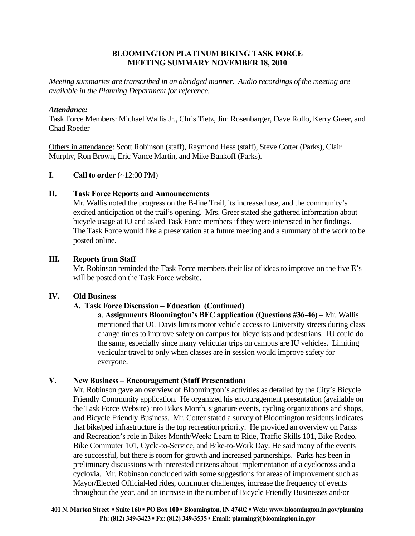### **BLOOMINGTON PLATINUM BIKING TASK FORCE MEETING SUMMARY NOVEMBER 18, 2010**

*Meeting summaries are transcribed in an abridged manner. Audio recordings of the meeting are available in the Planning Department for reference.* 

### *Attendance:*

Task Force Members: Michael Wallis Jr., Chris Tietz, Jim Rosenbarger, Dave Rollo, Kerry Greer, and Chad Roeder

Others in attendance: Scott Robinson (staff), Raymond Hess (staff), Steve Cotter (Parks), Clair Murphy, Ron Brown, Eric Vance Martin, and Mike Bankoff (Parks).

### **I.** Call to order  $(\sim 12:00 \text{ PM})$

### **II. Task Force Reports and Announcements**

 Mr. Wallis noted the progress on the B-line Trail, its increased use, and the community's excited anticipation of the trail's opening. Mrs. Greer stated she gathered information about bicycle usage at IU and asked Task Force members if they were interested in her findings. The Task Force would like a presentation at a future meeting and a summary of the work to be posted online.

### **III. Reports from Staff**

Mr. Robinson reminded the Task Force members their list of ideas to improve on the five E's will be posted on the Task Force website.

## **IV. Old Business**

## **A. Task Force Discussion – Education (Continued)**

**a**. **Assignments Bloomington's BFC application (Questions #36-46) – Mr. Wallis** mentioned that UC Davis limits motor vehicle access to University streets during class change times to improve safety on campus for bicyclists and pedestrians. IU could do the same, especially since many vehicular trips on campus are IU vehicles. Limiting vehicular travel to only when classes are in session would improve safety for everyone.

## **V. New Business – Encouragement (Staff Presentation)**

Mr. Robinson gave an overview of Bloomington's activities as detailed by the City's Bicycle Friendly Community application. He organized his encouragement presentation (available on the Task Force Website) into Bikes Month, signature events, cycling organizations and shops, and Bicycle Friendly Business. Mr. Cotter stated a survey of Bloomington residents indicates that bike/ped infrastructure is the top recreation priority. He provided an overview on Parks and Recreation's role in Bikes Month/Week: Learn to Ride, Traffic Skills 101, Bike Rodeo, Bike Commuter 101, Cycle-to-Service, and Bike-to-Work Day. He said many of the events are successful, but there is room for growth and increased partnerships. Parks has been in preliminary discussions with interested citizens about implementation of a cyclocross and a cyclovia. Mr. Robinson concluded with some suggestions for areas of improvement such as Mayor/Elected Official-led rides, commuter challenges, increase the frequency of events throughout the year, and an increase in the number of Bicycle Friendly Businesses and/or